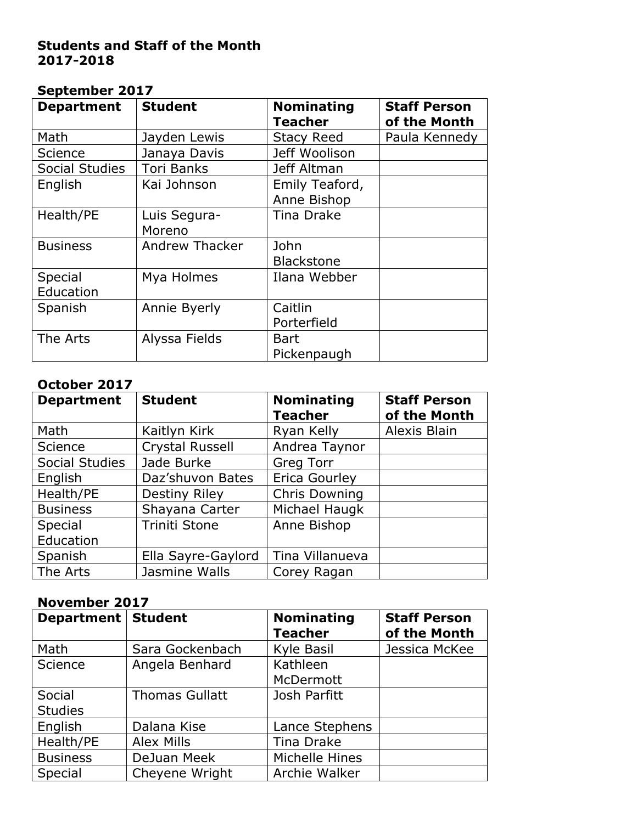#### **Students and Staff of the Month 2017-2018**

#### **September 2017**

| <b>Department</b>    | <b>Student</b>         | <b>Nominating</b><br><b>Teacher</b> | <b>Staff Person</b><br>of the Month |
|----------------------|------------------------|-------------------------------------|-------------------------------------|
| Math                 | Jayden Lewis           | <b>Stacy Reed</b>                   | Paula Kennedy                       |
| Science              | Janaya Davis           | Jeff Woolison                       |                                     |
| Social Studies       | <b>Tori Banks</b>      | Jeff Altman                         |                                     |
| English              | Kai Johnson            | Emily Teaford,<br>Anne Bishop       |                                     |
| Health/PE            | Luis Segura-<br>Moreno | Tina Drake                          |                                     |
| <b>Business</b>      | Andrew Thacker         | John<br><b>Blackstone</b>           |                                     |
| Special<br>Education | Mya Holmes             | Ilana Webber                        |                                     |
| Spanish              | Annie Byerly           | Caitlin<br>Porterfield              |                                     |
| The Arts             | Alyssa Fields          | Bart<br>Pickenpaugh                 |                                     |

#### **October 2017**

| <b>Department</b> | <b>Student</b>     | <b>Nominating</b><br><b>Teacher</b> | <b>Staff Person</b><br>of the Month |
|-------------------|--------------------|-------------------------------------|-------------------------------------|
| Math              | Kaitlyn Kirk       | Ryan Kelly                          | Alexis Blain                        |
| <b>Science</b>    | Crystal Russell    | Andrea Taynor                       |                                     |
| Social Studies    | Jade Burke         | <b>Greg Torr</b>                    |                                     |
| English           | Daz'shuvon Bates   | Erica Gourley                       |                                     |
| Health/PE         | Destiny Riley      | <b>Chris Downing</b>                |                                     |
| <b>Business</b>   | Shayana Carter     | Michael Haugk                       |                                     |
| Special           | Triniti Stone      | Anne Bishop                         |                                     |
| Education         |                    |                                     |                                     |
| Spanish           | Ella Sayre-Gaylord | Tina Villanueva                     |                                     |
| The Arts          | Jasmine Walls      | Corey Ragan                         |                                     |

#### **November 2017**

| Department   Student |                       | <b>Nominating</b><br><b>Teacher</b> | <b>Staff Person</b><br>of the Month |
|----------------------|-----------------------|-------------------------------------|-------------------------------------|
| Math                 | Sara Gockenbach       | Kyle Basil                          | Jessica McKee                       |
| <b>Science</b>       | Angela Benhard        | Kathleen                            |                                     |
|                      |                       | McDermott                           |                                     |
| Social               | <b>Thomas Gullatt</b> | Josh Parfitt                        |                                     |
| <b>Studies</b>       |                       |                                     |                                     |
| English              | Dalana Kise           | Lance Stephens                      |                                     |
| Health/PE            | <b>Alex Mills</b>     | Tina Drake                          |                                     |
| <b>Business</b>      | DeJuan Meek           | Michelle Hines                      |                                     |
| Special              | Cheyene Wright        | Archie Walker                       |                                     |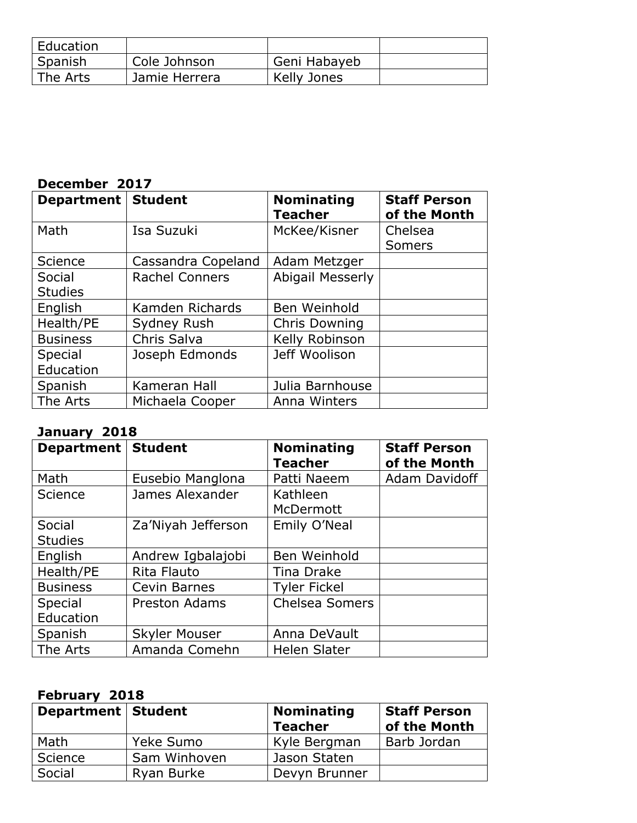| Education |               |              |  |
|-----------|---------------|--------------|--|
| Spanish   | Cole Johnson  | Geni Habayeb |  |
| The Arts  | Jamie Herrera | Kelly Jones  |  |

# **December 2017**

| Department   Student |                       | <b>Nominating</b><br><b>Teacher</b> | <b>Staff Person</b><br>of the Month |
|----------------------|-----------------------|-------------------------------------|-------------------------------------|
| Math                 | Isa Suzuki            | McKee/Kisner                        | Chelsea                             |
|                      |                       |                                     | <b>Somers</b>                       |
| Science              | Cassandra Copeland    | Adam Metzger                        |                                     |
| Social               | <b>Rachel Conners</b> | <b>Abigail Messerly</b>             |                                     |
| <b>Studies</b>       |                       |                                     |                                     |
| English              | Kamden Richards       | Ben Weinhold                        |                                     |
| Health/PE            | Sydney Rush           | <b>Chris Downing</b>                |                                     |
| <b>Business</b>      | Chris Salva           | Kelly Robinson                      |                                     |
| Special              | Joseph Edmonds        | Jeff Woolison                       |                                     |
| Education            |                       |                                     |                                     |
| Spanish              | Kameran Hall          | Julia Barnhouse                     |                                     |
| The Arts             | Michaela Cooper       | Anna Winters                        |                                     |

#### **January 2018**

| <b>Department</b> | <b>Student</b>       | <b>Nominating</b><br><b>Teacher</b> | <b>Staff Person</b><br>of the Month |
|-------------------|----------------------|-------------------------------------|-------------------------------------|
| Math              | Eusebio Manglona     | Patti Naeem                         | Adam Davidoff                       |
| <b>Science</b>    | James Alexander      | Kathleen                            |                                     |
|                   |                      | McDermott                           |                                     |
| Social            | Za'Niyah Jefferson   | Emily O'Neal                        |                                     |
| <b>Studies</b>    |                      |                                     |                                     |
| English           | Andrew Igbalajobi    | Ben Weinhold                        |                                     |
| Health/PE         | Rita Flauto          | Tina Drake                          |                                     |
| <b>Business</b>   | Cevin Barnes         | <b>Tyler Fickel</b>                 |                                     |
| Special           | <b>Preston Adams</b> | <b>Chelsea Somers</b>               |                                     |
| Education         |                      |                                     |                                     |
| Spanish           | <b>Skyler Mouser</b> | Anna DeVault                        |                                     |
| The Arts          | Amanda Comehn        | <b>Helen Slater</b>                 |                                     |

# **February 2018**

| Department   Student |              | <b>Nominating</b><br><b>Teacher</b> | <b>Staff Person</b><br>of the Month |
|----------------------|--------------|-------------------------------------|-------------------------------------|
| Math                 | Yeke Sumo    | Kyle Bergman                        | Barb Jordan                         |
| Science              | Sam Winhoven | Jason Staten                        |                                     |
| Social               | Ryan Burke   | Devyn Brunner                       |                                     |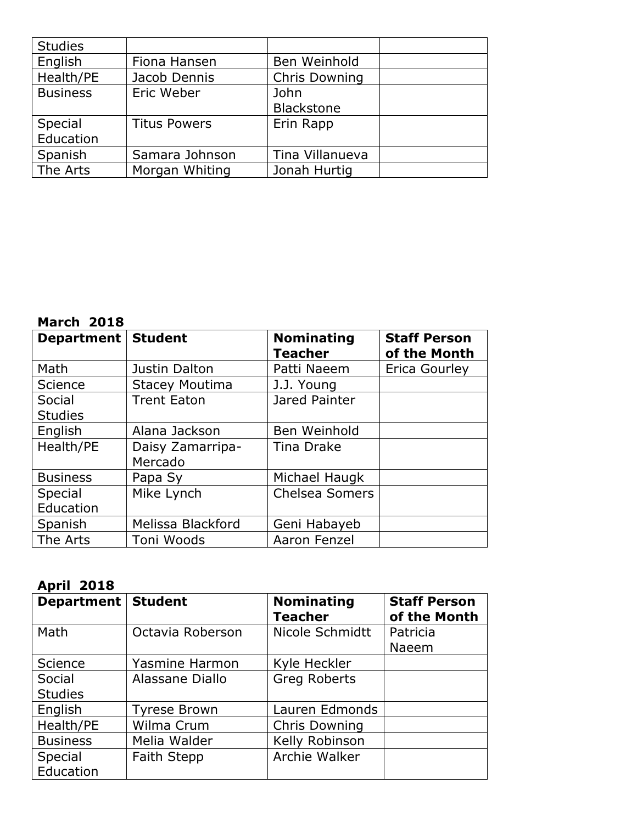| <b>Studies</b>  |                     |                 |  |
|-----------------|---------------------|-----------------|--|
| English         | Fiona Hansen        | Ben Weinhold    |  |
| Health/PE       | Jacob Dennis        | Chris Downing   |  |
| <b>Business</b> | Eric Weber          | John            |  |
|                 |                     | Blackstone      |  |
| Special         | <b>Titus Powers</b> | Erin Rapp       |  |
| Education       |                     |                 |  |
| Spanish         | Samara Johnson      | Tina Villanueva |  |
| The Arts        | Morgan Whiting      | Jonah Hurtig    |  |

#### **March 2018**

| Department   Student     |                             | <b>Nominating</b><br><b>Teacher</b> | <b>Staff Person</b><br>of the Month |
|--------------------------|-----------------------------|-------------------------------------|-------------------------------------|
| Math                     | Justin Dalton               | Patti Naeem                         | Erica Gourley                       |
| Science                  | <b>Stacey Moutima</b>       | J.J. Young                          |                                     |
| Social<br><b>Studies</b> | <b>Trent Eaton</b>          | Jared Painter                       |                                     |
| English                  | Alana Jackson               | Ben Weinhold                        |                                     |
| Health/PE                | Daisy Zamarripa-<br>Mercado | <b>Tina Drake</b>                   |                                     |
| <b>Business</b>          | Papa Sy                     | Michael Haugk                       |                                     |
| Special<br>Education     | Mike Lynch                  | <b>Chelsea Somers</b>               |                                     |
| Spanish                  | Melissa Blackford           | Geni Habayeb                        |                                     |
| The Arts                 | Toni Woods                  | Aaron Fenzel                        |                                     |

#### **April 2018**

| Department   Student |                       | <b>Nominating</b><br><b>Teacher</b> | <b>Staff Person</b><br>of the Month |
|----------------------|-----------------------|-------------------------------------|-------------------------------------|
| Math                 | Octavia Roberson      | Nicole Schmidtt                     | Patricia                            |
|                      |                       |                                     | Naeem                               |
| Science              | <b>Yasmine Harmon</b> | Kyle Heckler                        |                                     |
| Social               | Alassane Diallo       | <b>Greg Roberts</b>                 |                                     |
| <b>Studies</b>       |                       |                                     |                                     |
| English              | <b>Tyrese Brown</b>   | Lauren Edmonds                      |                                     |
| Health/PE            | Wilma Crum            | <b>Chris Downing</b>                |                                     |
| <b>Business</b>      | Melia Walder          | Kelly Robinson                      |                                     |
| Special              | <b>Faith Stepp</b>    | Archie Walker                       |                                     |
| Education            |                       |                                     |                                     |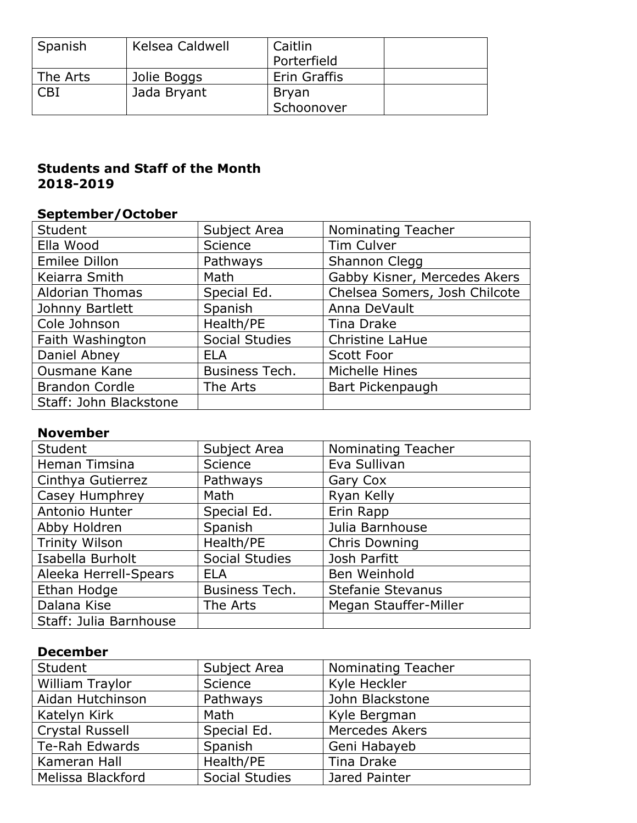| Spanish  | Kelsea Caldwell | Caitlin<br>Porterfield |  |
|----------|-----------------|------------------------|--|
| The Arts | Jolie Boggs     | Erin Graffis           |  |
| CB1      | Jada Bryant     | <b>Bryan</b>           |  |
|          |                 | Schoonover             |  |

#### **Students and Staff of the Month 2018-2019**

#### **September/October**

| Student                | Subject Area          | Nominating Teacher            |
|------------------------|-----------------------|-------------------------------|
| Ella Wood              | <b>Science</b>        | Tim Culver                    |
| Emilee Dillon          | Pathways              | Shannon Clegg                 |
| Keiarra Smith          | Math                  | Gabby Kisner, Mercedes Akers  |
| <b>Aldorian Thomas</b> | Special Ed.           | Chelsea Somers, Josh Chilcote |
| Johnny Bartlett        | Spanish               | Anna DeVault                  |
| Cole Johnson           | Health/PE             | Tina Drake                    |
| Faith Washington       | <b>Social Studies</b> | Christine LaHue               |
| Daniel Abney           | <b>ELA</b>            | Scott Foor                    |
| <b>Ousmane Kane</b>    | Business Tech.        | Michelle Hines                |
| <b>Brandon Cordle</b>  | The Arts              | Bart Pickenpaugh              |
| Staff: John Blackstone |                       |                               |

#### **November**

| <b>Student</b>         | Subject Area          | Nominating Teacher       |
|------------------------|-----------------------|--------------------------|
| Heman Timsina          | Science               | Eva Sullivan             |
| Cinthya Gutierrez      | Pathways              | Gary Cox                 |
| Casey Humphrey         | Math                  | Ryan Kelly               |
| Antonio Hunter         | Special Ed.           | Erin Rapp                |
| Abby Holdren           | Spanish               | Julia Barnhouse          |
| <b>Trinity Wilson</b>  | Health/PE             | <b>Chris Downing</b>     |
| Isabella Burholt       | <b>Social Studies</b> | Josh Parfitt             |
| Aleeka Herrell-Spears  | <b>ELA</b>            | Ben Weinhold             |
| Ethan Hodge            | Business Tech.        | <b>Stefanie Stevanus</b> |
| Dalana Kise            | The Arts              | Megan Stauffer-Miller    |
| Staff: Julia Barnhouse |                       |                          |

#### **December**

| Student                | Subject Area          | Nominating Teacher    |
|------------------------|-----------------------|-----------------------|
| William Traylor        | Science               | Kyle Heckler          |
| Aidan Hutchinson       | Pathways              | John Blackstone       |
| Katelyn Kirk           | Math                  | Kyle Bergman          |
| <b>Crystal Russell</b> | Special Ed.           | <b>Mercedes Akers</b> |
| Te-Rah Edwards         | Spanish               | Geni Habayeb          |
| Kameran Hall           | Health/PE             | Tina Drake            |
| Melissa Blackford      | <b>Social Studies</b> | Jared Painter         |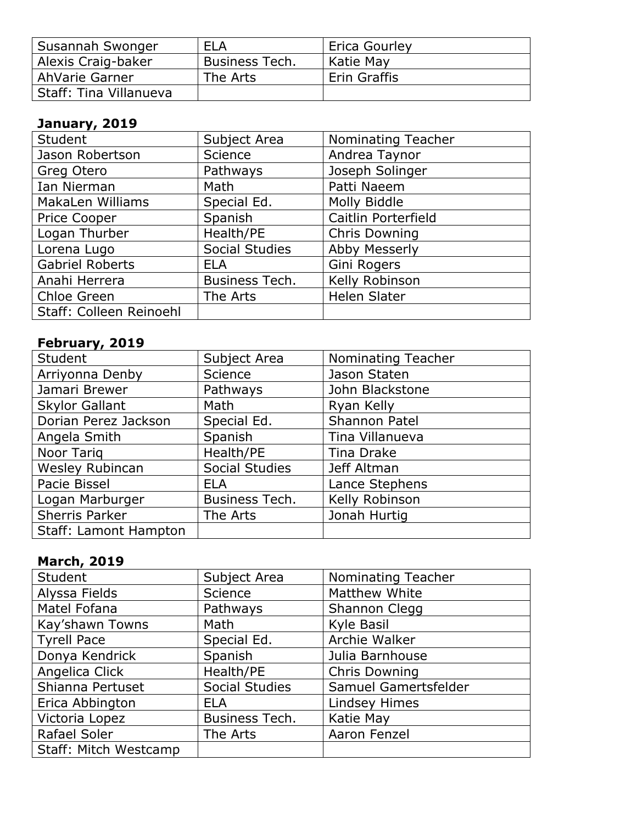| Susannah Swonger       | <b>ELA</b>     | Erica Gourley |
|------------------------|----------------|---------------|
| Alexis Craig-baker     | Business Tech. | Katie May     |
| AhVarie Garner         | The Arts       | Erin Graffis  |
| Staff: Tina Villanueva |                |               |

## **January, 2019**

| <b>Student</b>          | Subject Area          | <b>Nominating Teacher</b> |
|-------------------------|-----------------------|---------------------------|
| Jason Robertson         | <b>Science</b>        | Andrea Taynor             |
| Greg Otero              | Pathways              | Joseph Solinger           |
| Ian Nierman             | Math                  | Patti Naeem               |
| MakaLen Williams        | Special Ed.           | Molly Biddle              |
| Price Cooper            | Spanish               | Caitlin Porterfield       |
| Logan Thurber           | Health/PE             | <b>Chris Downing</b>      |
| Lorena Lugo             | <b>Social Studies</b> | Abby Messerly             |
| <b>Gabriel Roberts</b>  | <b>ELA</b>            | Gini Rogers               |
| Anahi Herrera           | Business Tech.        | Kelly Robinson            |
| Chloe Green             | The Arts              | <b>Helen Slater</b>       |
| Staff: Colleen Reinoehl |                       |                           |

## **February, 2019**

| Student                      | Subject Area          | Nominating Teacher   |
|------------------------------|-----------------------|----------------------|
| Arriyonna Denby              | Science               | Jason Staten         |
| Jamari Brewer                | Pathways              | John Blackstone      |
| <b>Skylor Gallant</b>        | Math                  | Ryan Kelly           |
| Dorian Perez Jackson         | Special Ed.           | <b>Shannon Patel</b> |
| Angela Smith                 | Spanish               | Tina Villanueva      |
| Noor Tarig                   | Health/PE             | Tina Drake           |
| Wesley Rubincan              | <b>Social Studies</b> | Jeff Altman          |
| Pacie Bissel                 | <b>ELA</b>            | Lance Stephens       |
| Logan Marburger              | Business Tech.        | Kelly Robinson       |
| Sherris Parker               | The Arts              | Jonah Hurtig         |
| <b>Staff: Lamont Hampton</b> |                       |                      |

## **March, 2019**

| <b>Student</b>        | Subject Area          | <b>Nominating Teacher</b> |
|-----------------------|-----------------------|---------------------------|
| Alyssa Fields         | Science               | Matthew White             |
| Matel Fofana          | Pathways              | Shannon Clegg             |
| Kay'shawn Towns       | Math                  | Kyle Basil                |
| <b>Tyrell Pace</b>    | Special Ed.           | Archie Walker             |
| Donya Kendrick        | Spanish               | Julia Barnhouse           |
| Angelica Click        | Health/PE             | <b>Chris Downing</b>      |
| Shianna Pertuset      | <b>Social Studies</b> | Samuel Gamertsfelder      |
| Erica Abbington       | <b>ELA</b>            | <b>Lindsey Himes</b>      |
| Victoria Lopez        | Business Tech.        | Katie May                 |
| Rafael Soler          | The Arts              | Aaron Fenzel              |
| Staff: Mitch Westcamp |                       |                           |